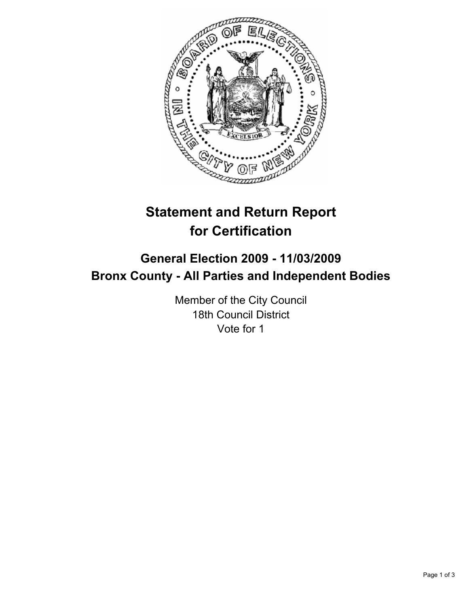

# **Statement and Return Report for Certification**

## **General Election 2009 - 11/03/2009 Bronx County - All Parties and Independent Bodies**

Member of the City Council 18th Council District Vote for 1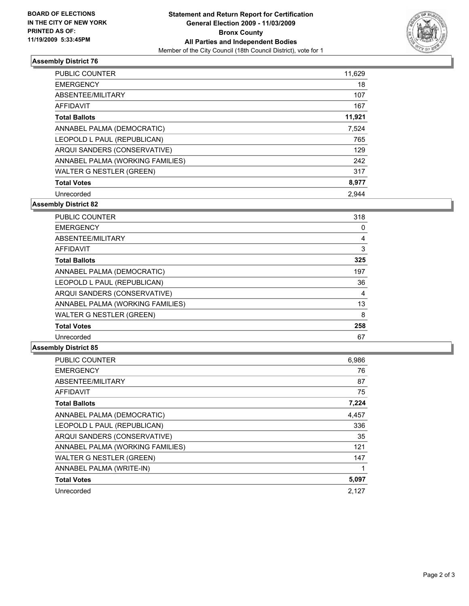

### **Assembly District 76**

| <b>PUBLIC COUNTER</b>            | 11,629 |
|----------------------------------|--------|
| <b>EMERGENCY</b>                 | 18     |
| ABSENTEE/MILITARY                | 107    |
| <b>AFFIDAVIT</b>                 | 167    |
| <b>Total Ballots</b>             | 11,921 |
| ANNABEL PALMA (DEMOCRATIC)       | 7,524  |
| LEOPOLD L PAUL (REPUBLICAN)      | 765    |
| ARQUI SANDERS (CONSERVATIVE)     | 129    |
| ANNABEL PALMA (WORKING FAMILIES) | 242    |
| <b>WALTER G NESTLER (GREEN)</b>  | 317    |
| <b>Total Votes</b>               | 8,977  |
| Unrecorded                       | 2.944  |

**Assembly District 82**

| <b>PUBLIC COUNTER</b>            | 318 |
|----------------------------------|-----|
| <b>EMERGENCY</b>                 | 0   |
| ABSENTEE/MILITARY                | 4   |
| <b>AFFIDAVIT</b>                 | 3   |
| <b>Total Ballots</b>             | 325 |
| ANNABEL PALMA (DEMOCRATIC)       | 197 |
| LEOPOLD L PAUL (REPUBLICAN)      | 36  |
| ARQUI SANDERS (CONSERVATIVE)     | 4   |
| ANNABEL PALMA (WORKING FAMILIES) | 13  |
| <b>WALTER G NESTLER (GREEN)</b>  | 8   |
| <b>Total Votes</b>               | 258 |
| Unrecorded                       | 67  |

#### **Assembly District 85**

| <b>PUBLIC COUNTER</b>            | 6,986 |
|----------------------------------|-------|
| <b>EMERGENCY</b>                 | 76    |
| ABSENTEE/MILITARY                | 87    |
| <b>AFFIDAVIT</b>                 | 75    |
| <b>Total Ballots</b>             | 7,224 |
| ANNABEL PALMA (DEMOCRATIC)       | 4,457 |
| LEOPOLD L PAUL (REPUBLICAN)      | 336   |
| ARQUI SANDERS (CONSERVATIVE)     | 35    |
| ANNABEL PALMA (WORKING FAMILIES) | 121   |
| <b>WALTER G NESTLER (GREEN)</b>  | 147   |
| ANNABEL PALMA (WRITE-IN)         |       |
| <b>Total Votes</b>               | 5,097 |
| Unrecorded                       | 2.127 |